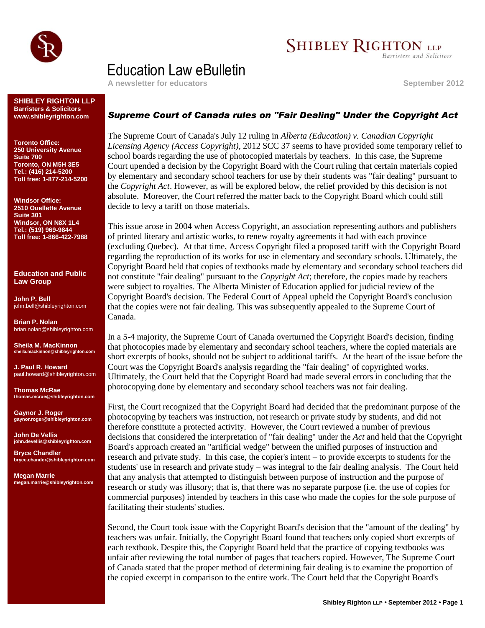

# **SHIBLEY RIGHTON LLP**

**Barristers and Solicitors** 

## Education Law eBulletin

**A newsletter for educators September 2012**

#### **SHIBLEY RIGHTON LLP Barristers & Solicitors www.shibleyrighton.com**

**Toronto Office: 250 University Avenue Suite 700 Toronto, ON M5H 3E5 Tel.: (416) 214-5200 Toll free: 1-877-214-5200**

**Windsor Office: 2510 Ouellette Avenue Suite 301 Windsor, ON N8X 1L4 Tel.: (519) 969-9844 Toll free: 1-866-422-7988**

**Education and Public Law Group**

**John P. Bell** john.bell@shibleyrighton.com

**Brian P. Nolan** brian.nolan@shibleyrighton.com

**Sheila M. MacKinnon sheila.mackinnon@shibleyrighton.com**

**J. Paul R. Howard** paul.howard@shibleyrighton.com

**Thomas McRae thomas.mcrae@shibleyrighton.com**

**Gaynor J. Roger gaynor.roger@shibleyrighton.com**

**John De Vellis john.devellis@shibleyrighton.com**

**Bryce Chandler bryce.chander@shibleyrighton.com**

**Megan Marrie megan.marrie@shibleyrighton.com**

## *Supreme Court of Canada rules on "Fair Dealing" Under the Copyright Act*

The Supreme Court of Canada's July 12 ruling in *Alberta (Education) v. Canadian Copyright Licensing Agency (Access Copyright)*, 2012 SCC 37 seems to have provided some temporary relief to school boards regarding the use of photocopied materials by teachers. In this case, the Supreme Court upended a decision by the Copyright Board with the Court ruling that certain materials copied by elementary and secondary school teachers for use by their students was "fair dealing" pursuant to the *Copyright Act*. However, as will be explored below, the relief provided by this decision is not absolute. Moreover, the Court referred the matter back to the Copyright Board which could still decide to levy a tariff on those materials.

This issue arose in 2004 when Access Copyright, an association representing authors and publishers of printed literary and artistic works, to renew royalty agreements it had with each province (excluding Quebec). At that time, Access Copyright filed a proposed tariff with the Copyright Board regarding the reproduction of its works for use in elementary and secondary schools. Ultimately, the Copyright Board held that copies of textbooks made by elementary and secondary school teachers did not constitute "fair dealing" pursuant to the *Copyright Act*; therefore, the copies made by teachers were subject to royalties. The Alberta Minister of Education applied for judicial review of the Copyright Board's decision. The Federal Court of Appeal upheld the Copyright Board's conclusion that the copies were not fair dealing. This was subsequently appealed to the Supreme Court of Canada.

In a 5-4 majority, the Supreme Court of Canada overturned the Copyright Board's decision, finding that photocopies made by elementary and secondary school teachers, where the copied materials are short excerpts of books, should not be subject to additional tariffs. At the heart of the issue before the Court was the Copyright Board's analysis regarding the "fair dealing" of copyrighted works. Ultimately, the Court held that the Copyright Board had made several errors in concluding that the photocopying done by elementary and secondary school teachers was not fair dealing.

First, the Court recognized that the Copyright Board had decided that the predominant purpose of the photocopying by teachers was instruction, not research or private study by students, and did not therefore constitute a protected activity. However, the Court reviewed a number of previous decisions that considered the interpretation of "fair dealing" under the *Act* and held that the Copyright Board's approach created an "artificial wedge" between the unified purposes of instruction and research and private study. In this case, the copier's intent – to provide excerpts to students for the students' use in research and private study – was integral to the fair dealing analysis. The Court held that any analysis that attempted to distinguish between purpose of instruction and the purpose of research or study was illusory; that is, that there was no separate purpose (i.e. the use of copies for commercial purposes) intended by teachers in this case who made the copies for the sole purpose of facilitating their students' studies.

Second, the Court took issue with the Copyright Board's decision that the "amount of the dealing" by teachers was unfair. Initially, the Copyright Board found that teachers only copied short excerpts of each textbook. Despite this, the Copyright Board held that the practice of copying textbooks was unfair after reviewing the total number of pages that teachers copied. However, The Supreme Court of Canada stated that the proper method of determining fair dealing is to examine the proportion of the copied excerpt in comparison to the entire work. The Court held that the Copyright Board's